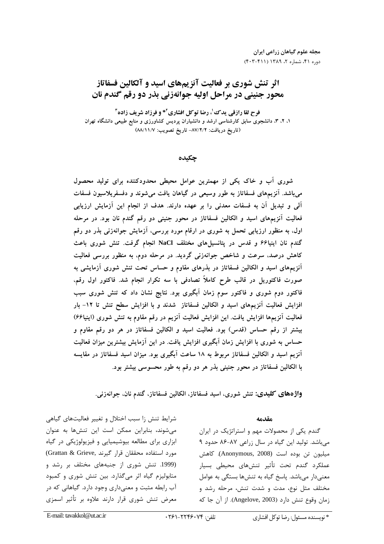# اثر تنش شوری بر فعالیت آنزیمهای اسید و آلکالین فسفاتاز محور جنيني در مراحل اوليه جوانهزني بذر دو رقم گندم نان

فرح لقا رازقي يدك'، رضا توكل افشاري ٌ\* و فرزاد شريف زاده ً ۱، ۲، ۳، دانشجوی سابق کارشناسی ارشد و دانشیاران پردیس کشاورزی و منابع طبیعی دانشگاه تهران (تاريخ دريافت: ٨٧/٢/٢- تاريخ تصويب: ٨٨/١١/٧)

چکیده

شوری آب و خاک یکی از مهمترین عوامل محیطی محدودکننده برای تولید محصول میباشد. آنزیمهای فسفاتاز به طور وسیعی در گیاهان یافت میشوند و دفسفریلاسیون فسفات آلی و تبدیل آن به فسفات معدنی را بر عهده دارند. هدف از انجام این آزمایش ارزیابی فعالیت آنزیمهای اسید و الکالین فسفاتاز در محور جنینی دو رقم گندم نان بود. در مرحله اول، به منظور ارزیابی تحمل به شوری در ارقام مورد بررسی، آزمایش جوانهزنی بذر دو رقم گندم نان اینیا۶۶ و قدس در پتانسیلهای مختلف NaCl انجام گرفت. تنش شوری باعث کاهش درصد، سرعت و شاخص جوانهزنی گردید. در مرحله دوم، به منظور بررسی فعالیت آنزیمهای اسید و الکالین فسفاتاز در بذرهای مقاوم و حساس تحت تنش شوری آزمایشی به صورت فاکتوریل در قالب طرح کاملاً تصادفی با سه تکرار انجام شد. فاکتور اول رقم، فاکتور دوم شوری و فاکتور سوم زمان آبگیری بود. نتایج نشان داد که تنش شوری سبب افزایش فعالیت آنزیمهای اسید و الکالین فسفاتاز شدند و با افزایش سطح تنش تا ۱۲- بار فعالیت آنزیمها افزایش یافت. این افزایش فعالیت آنزیم در رقم مقاوم به تنش شوری (اینیا۶۶) بیشتر از رقم حساس (قدس) بود. فعالیت اسید و الکالین فسفاتاز در هر دو رقم مقاوم و حساس به شوری با افزایش زمان آبگیری افزایش یافت. در این آزمایش بیشترین میزان فعالیت اَنزیم اسید و الکالین فسفاتاز مربوط به ۱۸ ساعت اَبگیری بود. میزان اسید فسفاتاز در مقایسه با الکالین فسفاتاز در محور جنینی بذر هر دو رقم به طور محسوسی بیشتر بود.

واژههای کلیدی: تنش شوری، اسید فسفاتاز، الکالین فسفاتاز، گندم نان، جوانەزنی.

### مقدمه

گندم یکی از محصولات مهم و استراتژیک در ایران میباشد. تولید این گیاه در سال زراعی ۸۷-۸۶ حدود ۹ ميليون تن بوده است (Anonymous, 2008). كاهش عملكرد گندم تحت تأثير تنشهاى محيطى بسيار معنے دار مے باشد. پاسخ گیاہ به تنش ها بستگے به عوامل مختلف مثل نوع، مدت و شدت تنش، مرحله رشد و زمان وقوع تنش دارد (Angelove, 2003). از آن جا كه

شرایط تنش زا سبب اختلال و تغییر فعالیتهای گیاهی می شوند، بنابراین ممکن است این تنشها به عنوان ابزاری برای مطالعه بیوشیمیایی و فیزیولوژیکی در گیاه مورد استفاده محققان قرار گیرند ,Grattan & Grieve) (1999. تنش شوری از جنبههای مختلف بر رشد و متابولیزم گیاه اثر میگذارد. بین تنش شوری و کمبود آب رابطه مثبت و معنیداری وجود دارد. گیاهانی که در معرض تنش شوری قرار دارند علاوه بر تأثیر اسمزی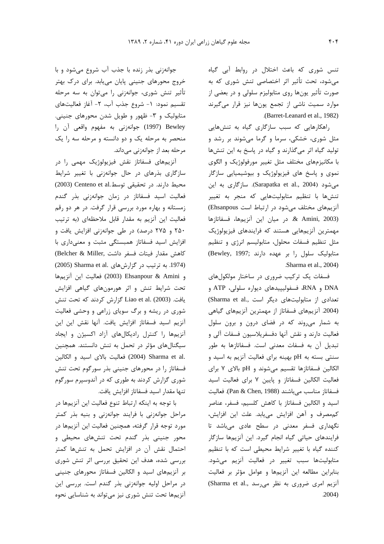تنس شوری که باعث اختلال در روابط آبی گیاه می شود، تحت تأثیر اثر اختصاصی تنش شوری که به صورت تأثیر یونها روی متابولیزم سلولی و در بعضی از موارد سمیت ناشی از تجمع یونها نیز قرار میگیرند .(Barret-Leanard et al., 1982)

راهکارهایی که سبب سازگاری گیاه به تنشهایی مثل شوری، خشکی، سرما و گرما میشوند بر رشد و تولید گیاه اثر میگذارند و گیاه در پاسخ به این تنشها با مکانیزمهای مختلف مثل تغییر مورفولوژیک و الگوی نموی و پاسخ های فیزیولوژیک و بیوشیمیایی سازگار میشود (Sarapatka et al., 2004). سازگاری به این تنشها با تنظیم متابولیتهایی که منجر به تغییر آنزیمهای مختلف میشود در ارتباط است Ehsanpous) & Amini, 2003). در ميان اين آنزيمها، فسفاتازها مهمترین آنزیمهایی هستند که فرایندهای فیزیولوژیک مثل تنظیم فسفات محلول، متابولیسم انرژی و تنظیم متابولیک سلول را بر عهده دارند :(Bewley, 1997) Sharma et al., 2004)

فسفات یک ترکیب ضروری در ساختار مولکولهای DNA و RNA، فسفوليپيدهاى ديواره سلولى، ATP و تعدادی از متابولیتهای دیگر است ,Sharma et al) (2004. آنزیمهای فسفاتاز از مهمترین آنزیمهای گیاهی به شمار میروند که در فضای درون و برون سلول فعالیت دارند و نقش آنها دفسفریلاسیون فسفات آلی و تبدیل آن به فسفات معدنی است. فسفاتازها به طور سنتی بسته به pH بهینه برای فعالیت آنزیم به اسید و الكالين فسفاتازها تقسيم مى شوند و pH بالاى ٧ براى فعالیت الکالین فسفاتاز و پایین ۷ برای فعالیت اسید فسفاتاز مناسب مى باشند (Pan & Chen, 1988). فعاليت اسید و الکالین فسفاتاز با کاهش کلسیم، فسفر، عناصر كممصرف وآهن افزايش مي يابد. علت اين افزايش، نگهداری فسفر معدنی در سطح عادی میباشد تا فرایندهای حیاتی گیاه انجام گیرد. این آنزیمها سازگار كننده گياه با تغيير شرايط محيطى است كه با تنظيم متابولیتها سبب تغییر در فعالیت آنزیم میشود. بنابراین مطالعه این آنزیمها و عوامل مؤثر بر فعالیت آنزیم امری ضروری به نظر می رسد .Sharma et al  $.2004)$ 

جوانهزنی بذر زنده با جذب آب شروع می شود و با خروج محورهای جنینی پایان می یابد. برای درک بهتر تأثیر تنش شوری، جوانهزنی را میتوان به سه مرحله تقسيم نمود: ١- شروع جذب آب، ٢- آغاز فعاليتهاى متابولیک و ۳- ظهور و طویل شدن محورهای جنینی. Bewley (1997) جوانهزني به مفهوم واقعي أن را منحصر به مرحله یک و دو دانسته و مرحله سه را یک مرحله بعد از جوانهزنی میداند.

آنزیمهای فسفاتاز نقش فیزیولوژیک مهمی را در سازگاری بذرهای در حال جوانهزنی با تغییر شرایط محيط دارند. در تحقيقي توسط.Centeno et al (2003) فعالیت اسید فسفاتاز در زمان جوانهزنی بذر گندم زمستانه و بهاره مورد بررسی قرار گرفت. در هر دو رقم فعالیت این آنزیم به مقدار قابل ملاحظهای (به ترتیب ۲۵۰ و ۲۷۵ درصد) در طی جوانهزنی افزایش یافت و افزایش اسید فسفاتاز همبستگی مثبت و معنیداری با كاهش مقدار فيتات فسفر داشت ,Belcher & Miller) (1974. به ترتیب در گزارش های .Sharma et al (2005) و Ehsanpour & Amini (2003) فعاليت اين أنزيمها تحت شرایط تنش و اثر هورمونهای گیاهی افزایش يافت. (2003) Liao et al. كزارش كردند كه تحت تنش شوری در ریشه و برگ سویای زراعی و وحشی فعالیت آنزيم اسيد فسفاتاز افزايش يافت. آنها نقش اين اين آنزیمها را کنترل رادیکالهای آزاد اکسیژن و ایجاد سیگنالهای مؤثر در تحمل به تنش دانستند. همچنین .2004) Sharma et al (2004) فعاليت بالاي اسيد و الكالين فسفاتاز را در محورهای جنینی بذر سورگوم تحت تنش شوری گزارش کردند به طوری که در آندوسیرم سورگوم تنها مقدار اسيد فسفاتاز افزايش يافت.

با توجه به اینکه ارتباط تنوع فعالیت این آنزیمها در مراحل جوانهزنی با فرایند جوانهزنی و بنیه بذر کمتر مورد توجه قرار گرفته، همچنین فعالیت این آنزیمها در محور جنینی بذر گندم تحت تنشهای محیطی و احتمال نقش آن در افزایش تحمل به تنشها کمتر بررسی شده، هدف این تحقیق بررسی اثر تنش شوری بر آنزیمهای اسید و الکالین فسفاتاز محورهای جنینی در مراحل اولیه جوانهزنی بذر گندم است. بررسی این آنزیمها تحت تنش شوری نیز می تواند به شناسایی نحوه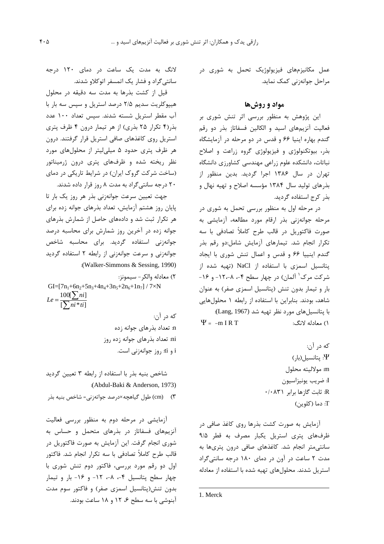عمل مکانیزمهای فیزیولوژیک تحمل به شوری در مراحل جوانەزنى كمك نمايد.

## مواد و روشها

این پژوهش به منظور بررسی اثر تنش شوری بر فعالیت آنزیمهای اسید و الکالین فسفاتاز بذر دو رقم گندم بهاره اینیا ۶۶ و قدس در دو مرحله در آزمایشگاه بذر، بیوتکنولوژی و فیزیولوژی گروه زراعت و اصلاح نباتات، دانشکده علوم زراعی مهندسی کشاورزی دانشگاه تهران در سال ۱۳۸۶ اجرا گردید. بدین منظور از بذرهای تولید سال ۱۳۸۴ مؤسسه اصلاح و تهیه نهال و بذر كرج استفاده گرديد.

در مرحله اول به منظور بررسی تحمل به شوری در مرحله جوانهزنی بذر ارقام مورد مطالعه، آزمایشی به صورت فاکتوریل در قالب طرح کاملاً تصادفی با سه تكرار انجام شد. تيمارهاى آزمايش شامل:دو رقم بذر گندم اینییا ۶۶ و قدس و اعمال تنش شوری با ایجاد یتانسیل اسمزی با استفاده از NaCl (تهیه شده از شرکت مرک<sup>۱</sup> آلمان) در چهار سطح ۴-، ۸-۱۲- و ۱۶-بار و تیمار بدون تنش (پتانسیل اسمزی صفر) به عنوان شاهد، بودند. بنابراین با استفاده از رابطه ۱ محلول هایی با پتانسیلهای مورد نظر تهیه شد (Lang, 1967):  $\Psi = -m I R T$ ۱) معادله لانگ:

> كه در آن: بتانسیل(بار) $\Psi$ m: مولاليته محلول I: ضريب يونيزاسيون R: ثابت گازها برابر ۰/۰۸۳۱ T: دما (كلوين)

آزمایش به صورت کشت بذرها روی کاغذ صافی در ظرفهای پتری استریل یکبار مصرف به قطر ۹/۵ سانتی متر انجام شد. کاغذهای صافی درون پتریها به مدت ٢ ساعت در آون در دمای ١٨٠ درجه سانتی گراد استریل شدند. محلولهای تهیه شده با استفاده از معادله

1. Merck

لانگ به مدت یک ساعت در دمای ۱۲۰ درجه سانتی گراد و فشار یک اتمسفر اتوکلاو شدند.

قیل از کشت بذرها به مدت سه دقیقه در محلول هیپوکلریت سدیم ۲/۵ درصد استریل و سپس سه بار با آب مقطر استریل شسته شدند. سپس تعداد ۱۰۰ عدد بذر(۴ تکرار ۲۵ بذری) از هر تیمار درون ۴ ظرف پتری استریل روی کاغذهای صافی استریل قرار گرفتند. درون هر ظرف پتری حدود ۵ میلی لیتر از محلول های مورد نظر ریخته شده و ظرفهای پتری درون ژرمیناتور (ساخت شرکت گروک ایران) در شرایط تاریکی در دمای ٢٠ درجه سانتي گراد به مدت ٨ روز قرار داده شدند.

جهت تعیین سرعت جوانهزنی بذر هر روز یک بار تا پایان روز هشتم آزمایش، تعداد بذرهای جوانه زده برای هر تکرار ثبت شد و دادههای حاصل از شمارش بذرهای جوانه زده در آخرین روز شمارش برای محاسبه درصد جوانهزنی استفاده گردید. برای محاسبه شاخص جوانهزنی و سرعت جوانهزنی از رابطه ۲ استفاده گردید :(Walker-Simmons & Sessing, 1990)

٢) معادله والكر - سيمونز:

GI= $[7n_1+6n_2+5n_3+4n_4+3n_5+2n_6+1n_7]/7 \times N$  $Le = \frac{10v_1}{[\sum ni * ti]}$ 

که د, آن: n: تعداد بذرهای جوانه زده ni: تعداد بذرهای جوانه زده روز i و ti: روز جوانهزنی است.

شاخص بنيه بذر با استفاده از رابطه ٣ تعيين گرديد :(Abdul-Baki & Anderson, 1973)

۳) (cm) طول گیاهچه×درصد جواتهزنی= شاخص بنیه بذر

آزمایشی در مرحله دوم به منظور بررسی فعالیت آنزیمهای فسفاتاز در بذرهای متحمل و حساس به شوری انجام گرفت. این آزمایش به صورت فاکتوریل در قالب طرح كاملاً تصادفي با سه تكرار انجام شد. فاكتور اول دو رقم مورد بررسی، فاکتور دوم تنش شوری با چهار سطح پتانسیل ۴-، ٨-، ١٢- و ١۶- بار و تیمار بدون تنش(پتانسیل اسمزی صفر) و فاکتور سوم مدت آبنوشی با سه سطح ۶، ۱۲ و ۱۸ ساعت بودند.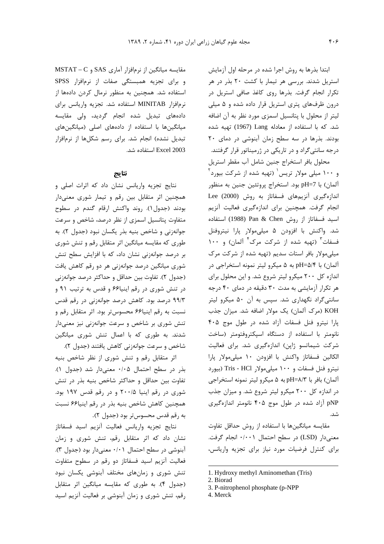ابتدا بذرها به روش اجرا شده در مرحله اول آزمایش استریل شدند. بررسی هر تیمار با کشت ۲۰ بذر در هر تکرار انجام گرفت. بذرها روی کاغذ صافی استریل در درون ظرفهای پتری استریل قرار داده شده و ۵ میلی لیتر از محلول با پتانسیل اسمزی مورد نظر به آن اضافه شد. که با استفاده از معادله Lang (1967) تهيه شده بودند. بذرها در سه سطح زمان آبنوشی در دمای ۲۰ درجه سانتی گراد و در تاریکی در ژرمیناتور قرار گرفتند.

محلول بافر استخراج جنين شامل آب مقطر استريل و ۱۰۰ میلی مولار تریس<sup>۱</sup> (تهیه شده از شرکت بیورد<sup>۲</sup> آلمان) با pH=7 بود. استخراج پروتئين جنين به منظور اندازەگىرى آنزيم هاى فسفاتاز بە روش (2000) Lee انجام گرفت. همچنین برای اندازهگیری فعالیت آنزیم اسيد فسفاتاز از روش Pan & Chen (1988) استفاده شد. واکنش با افزودن ۵ میلی مولار پارا نیتروفنل فسفات<sup>۳</sup> (تهیه شده از شرکت مرک<sup>۴</sup> آلمان) و ۱۰۰ میلی مولار بافر استات سدیم (تهیه شده از شرکت مرک آلمان) با pH=۵/۴ به ۵ میکرو لیتر نمونه استخراجی در اندازه کل ۲۰۰ میکرو لیتر شروع شد. و این محلول برای هر تکرار آزمایشی به مدت ۳۰ دقیقه در دمای ۴۰ درجه سانتی گراد نگهداری شد. سپس به آن ۵۰ میکرو لیتر KOH (مرک آلمان) یک مولار اضافه شد. میزان جذب پارا نیترو فنل فسفات آزاد شده در طول موج ۴۰۵ نانومتر با استفاده از دستگاه اسپکتروفتومتر (ساخت شرکت شیماتسو ژاپن) اندازهگیری شد. برای فعالیت الكالين فسفاتاز واكنش با افزودن ١٠ ميلي،مولار يارا نيترو فنل فسفات و ١٠٠ ميلي مولار Tris - HCl (بيورد آلمان) بافر با pH=۸/۳ به ۵ میکرو لیتر نمونه استخراجی در اندازه کل ۲۰۰ میکرو لیتر شروع شد. و میزان جذب pNP آزاد شده در طول موج ۴۰۵ نانومتر اندازهگیری  $\Delta$ 

مقايسه ميانگينها با استفاده از روش حداقل تفاوت معنىدار (LSD) در سطح احتمال ۰/۰۰۱ انجام گرفت. برای کنترل فرضیات مورد نیاز برای تجزیه واریانس،

4. Merck

مقایسه میانگین از نرمافزار آماری SAS و MSTAT - C و برای تجزیه همبستگی صفات از نرمافزار SPSS استفاده شد. همچنین به منظور نرمال کردن دادهها از نرمافزار MINITAB استفاده شد. تجزيه واريانس براى دادههای تبدیل شده انجام گردید، ولی مقایسه میانگینها با استفاده از دادههای اصلی (میانگینهای تبدیل نشده) انجام شد. برای رسم شکلها از نرمافزار Excel 2003 استفاده شد.

### نتايج

نتایج تجزیه واریانس نشان داد که اثرات اصلی و همچنین اثر متقابل بین رقم و تیمار شوری معنیدار بودند (جدول ۱). روند واكنش ارقام گندم در سطوح متفاوت پتانسیل اسمزی از نظر درصد، شاخص و سرعت جوانهزنی و شاخص بنیه بذر یکسان نبود (جدول ۲). به طوری که مقایسه میانگین اثر متقابل رقم و تنش شوری بر درصد جوانهزنی نشان داد، که با افزایش سطح تنش شوری میانگین درصد جوانهزنی هر دو رقم کاهش یافت (جدول ٢). تفاوت بين حداقل و حداكثر درصد جوانهزني در تنش شوری در رقم اینیا۶۶ و قدس به ترتیب ۹۱ و ۹۹/۳ درصد بود. کاهش درصد جوانهزنی در رقم قدس نسبت به رقم اینیا۶۶ محسوستر بود. اثر متقابل رقم و تنش شوری بر شاخص و سرعت جوانهزنی نیز معنیدار شدند. به طوری که با اعمال تنش شوری میانگین شاخص و سرعت جوانهزنی کاهش یافتند (جدول ۲).

اثر متقابل رقم و تنش شوری از نظر شاخص بنیه بذر در سطح احتمال ۰/۰۵ معنیدار شد (جدول ۱). تفاوت بين حداقل و حداكثر شاخص بنيه بذر در تنش شوری در رقم اینیا ۲۰۰/۵ و در رقم قدس ۱۹۷ بود. همچنین کاهش شاخص بنیه بذر در رقم اینیا۶۶ نسبت به رقم قدس محسوس تر بود (جدول ٢).

نتايج تجزيه واريانس فعاليت أنزيم اسيد فسفاتاز نشان داد که اثر متقابل رقم، تنش شوری و زمان آبنوشي در سطح احتمال ۰/۰۱ معنىدار بود (جدول ٣). فعالیت آنزیم اسید فسفاتاز دو رقم در سطوح متفاوت تنش شوری و زمانهای مختلف آبنوشی یکسان نبود (جدول ۴). به طوری که مقایسه میانگین اثر متقابل رقم، تنش شوری و زمان آبنوشی بر فعالیت آنزیم اسید

<sup>1.</sup> Hydroxy methyl Aminomethan (Tris)

<sup>2.</sup> Biorad

<sup>3.</sup> P-nitrophenol phosphate (p-NPP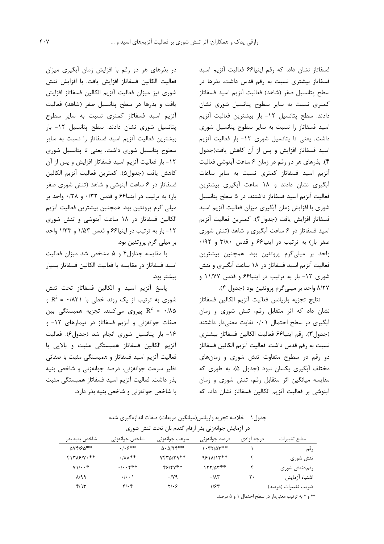فسفاتاز نشان داد، که رقم اینیا۶۶ فعالیت آنزیم اسید فسفاتاز بیشتری نسبت به رقم قدس داشت. بذرها در سطح پتانسیل صفر (شاهد) فعالیت آنزیم اسید فسفاتاز کمتری نسبت به سایر سطوح پتانسیل شوری نشان دادند. سطح پتانسیل ۱۲- بار بیشترین فعالیت آنزیم اسید فسفاتاز را نسبت به سایر سطوح پتانسیل شوری داشت. یعنی تا پتانسیل شوری ۱۲- بار فعالیت آنزیم اسید فسفاتاز افزایش و پس از آن کاهش یافت(جدول ۴). بذرهای هر دو رقم در زمان ۶ ساعت آبنوشی فعالیت آنزیم اسید فسفاتاز کمتری نسبت به سایر ساعات آبگیری نشان دادند و ۱۸ ساعت آبگیری بیشترین فعالیت آنزیم اسید فسفاتاز داشتند. در ۵ سطح پتانسیل شوری با افزایش زمان آبگیری میزان فعالیت آنزیم اسید فسفاتاز افزایش یافت (جدول۴). کمترین فعالیت آنزیم اسید فسفاتاز در ۶ ساعت آبگیری و شاهد (تنش شوری صفر بار) به ترتیب در اینیا۶۶ و قدس ۳/۸۰ و ۰/۹۲ واحد بر میلیگرم پروتئین بود. همچنین بیشترین فعالیت آنزیم اسید فسفاتاز در ۱۸ ساعت آبگیری و تنش شوری ۱۲- بار به ترتیب در اینیا۶۶ و قدس ۱۱/۷۷ و ۸/۲۷ واحد بر میلیگرم پروتئین بود (جدول ۴).

نتايج تجزيه واريانس فعاليت آنزيم الكالين فسفاتاز نشان داد که اثر متقابل رقم، تنش شوری و زمان آبگیری در سطح احتمال ۰/۰۱ تفاوت معنیدار داشتند (جدول٣). رقم اينيا۶۶ فعاليت الكالين فسفاتاز بيشترى نسبت به رقم قدس داشت. فعاليت آنزيم الكالين فسفاتاز دو رقم در سطوح متفاوت تنش شوری و زمانهای مختلف آبگیری یکسان نبود (جدول ۵). به طوری که مقایسه میانگین اثر متقابل رقم، تنش شوری و زمان آبنوشی بر فعالبت آنزیم الکالین فسفاتاز نشان داد، که

در بذرهای هر دو رقم با افزایش زمان آبگیری میزان فعاليت الكالين فسفاتاز افزايش يافت. با افزايش تنش شوری نیز میزان فعالیت آنزیم الکالین فسفاتاز افزایش یافت و بذرها در سطح پتانسیل صفر (شاهد) فعالیت آنزیم اسید فسفاتاز کمتری نسبت به سایر سطوح پتانسیل شوری نشان دادند. سطح پتانسیل ۱۲– بار بیشترین فعالیت آنزیم اسید فسفاتاز را نسبت به سایر سطوح پتانسیل شوری داشت. یعنی تا پتانسیل شوری ۱۲- بار فعالیت آنزیم اسید فسفاتاز افزایش و پس از آن كاهش يافت (جدول۵). كمترين فعاليت آنزيم الكالين فسفاتاز در ۶ ساعت آبنوشی و شاهد (تنش شوری صفر  $\vert \cdot \rangle$ بار) به ترتیب در اینیا۶۶ و قدس ۰/۳۲ و ۰/۲۸ واحد بر میلی گرم پروتئین بود. همچنین بیشترین فعالیت آنزیم الکالین فسفاتاز در ۱۸ ساعت آبنوشی و تنش شوری ١٢- بار به ترتيب در اينيا ۶۶ و قدس ١/٥٣ و ١/٣٣ واحد بر میلی گرم پروتئین بود.

با مقایسه جداول۴ و ۵ مشخص شد میزان فعالیت اسيد فسفاتاز در مقايسه با فعاليت الكالين فسفاتاز بسيار بيشتر بود.

پاسخ آنزیم اسید و الکالین فسفاتاز تحت تنش شوری به ترتیب از یک روند خطی با R<sup>2</sup> = ۰/۸۳۱ پیروی میکنند. تجزیه همبستگی بین R $^2$  =  $\cdot$  /۸۵ صفات جوانهزنی و آنزیم فسفاتاز در تیمارهای ۱۲- و ۱۶- بار پتانسیل شوری انجام شد (جدول۶). فعالیت آنزیم الکالین فسفاتاز همبستگی مثبت و بالایی با فعالیت آنزیم اسید فسفاتاز و همبستگی مثبت با صفاتی نظیر سرعت جوانهزنی، درصد جوانهزنی و شاخص بنیه بذر داشت. فعالیت آنزیم اسید فسفاتاز همبستگی مثبت با شاخص جوانهزنی و شاخص بنیه بذر دارد.

جدول ۱ – خلاصه تجزيه واريانس(ميانگين مربعات) صفات اندازهگيري شده

|                            |                               | در آزمایش جوانهزنی بذر ارقام گندم نان تحت تنش شوری |                     |            |                     |
|----------------------------|-------------------------------|----------------------------------------------------|---------------------|------------|---------------------|
| شاخص بنيه بذر              | شاخص جوانەزنى                 | سرعت جوانەزنى                                      | درصد جوانەزنى       | درجه آزادى | منابع تغييرات       |
| $\Delta V$ F/F $\Delta$ ** | $.  .9***$                    | $\Delta \cdot \Delta$ /95**                        | 1.77777             |            | , قم                |
| $F17\lambda$ ۶/۷.**        | $\cdot$ / $\Lambda\Lambda$ ** | $YfY\Delta/Yq**$                                   | 9811/14**           |            | تنش شورى            |
| $Y \cup \cdot \cdot$ *     | $\cdot/\cdot\cdot$ ۴**        | 48144**                                            | $177/04**$          |            | رقم×تنش شورى        |
| $\lambda$ /99              | $\cdot/\cdot\cdot$            | $\cdot$ /yq                                        | $\cdot/\lambda\tau$ | ٢٠         | اشتباه آزمايش       |
| f/95                       | $f(\cdot)$                    | $Y/\cdot 5$                                        | ۱۱۶۳                |            | ضريب تغييرات (درصد) |

\*\* و \* به ترتیب معنیدار در سطح احتمال ۱ و ۵ درصد.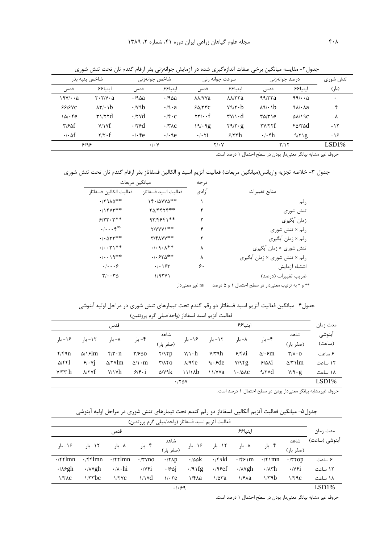| شاخص بنيه بذر         |                                                           | شاخص جوانەزنى                    |                      | سرعت جوانه رنی                                   |                                               | درصد جوانەزنى    |                                     | تنش شورى    |  |
|-----------------------|-----------------------------------------------------------|----------------------------------|----------------------|--------------------------------------------------|-----------------------------------------------|------------------|-------------------------------------|-------------|--|
| قدس                   | اينيا۶۶                                                   | قدس                              | اينيا۶۶              | قدس                                              | اينيا۶۶                                       | قدس              | اينيا۶۶                             | (بار)       |  |
| 1971 · · a            | $\mathbf{Y} \cdot \mathbf{Y}/\mathbf{V} \cdot \mathbf{a}$ | $\cdot$ /90a                     | $\cdot$ /90a         | <b>AA/YYa</b>                                    | $\lambda\lambda$ /٣٣a                         | 99/57a           | 99/4a                               | $\bullet$   |  |
| 55/50                 | $\lambda \mathbf{r} \cdot \mathbf{b}$                     | $\cdot$ / $\vee$ $\circ$ $\circ$ | $\cdot$ /9 $\cdot$ a | 50/77C                                           | $Y9/Y \cdot b$                                | $\lambda$ ۹/۰۱b  | $9\lambda/\cdot\lambda a$           | $-\epsilon$ |  |
| $\lambda \Delta$ . Fe | $\mathbf{r}$ $\mathbf{r}$                                 | $\cdot$ /۲۷d                     | $\cdot$ /۴ $\cdot$ c | $\mathbf{Y} \mathbf{Y} / \cdot \cdot \mathbf{f}$ | $\mathbf{v} \vee \mathbf{v} \cdot \mathbf{d}$ | $T\Delta/T$      | $\Delta \lambda / \lambda$ $\alpha$ | $-\lambda$  |  |
| $\tau$ /۶۵ $f$        | V/Yf                                                      | $\cdot$ /۲۶d                     | $\cdot$ /۳۸ $c$      | 19/29                                            | $Y \mathcal{A}/Y \cdot g$                     | YY/YYf           | $f\Delta/T\Delta d$                 | $-15$       |  |
| $\cdot$ / $\circ$ of  | $Y/Y \cdot f$                                             | $\cdot$ / $\cdot$ Fe             | $\cdot$ / $\cdot$ 9e | $\cdot$ / $\cdot$ $\cdot$ $\cdot$ i              | $\frac{\gamma}{\pi h}$                        | $\cdot/\cdot$ fh | 9/71g                               | $-19$       |  |
|                       | 9199                                                      |                                  | $\cdot$ / $\cdot$ Y  |                                                  | $Y/\cdot Y$                                   |                  | Y/Y                                 | LSD1%       |  |

جدول٢- مقايسه ميانگين برخي صفات اندازهگيري شده در آزمايش جوانهزني بذر ارقام گندم نان تحت تنش شوري

حروف غیر مشابه بیانگر معنیدار بودن در سطح احتمال ۱ درصد است.

جدول ٣- خلاصه تجزيه واريانس(ميانگين مربعات) فعاليت آنزيم اسيد و الكالين فسفاتاز بذر ارقام گندم نان تحت تنش شوري

| ميانگين مربعات                                                     |                                         | در جه |                                                                                                                                                         |
|--------------------------------------------------------------------|-----------------------------------------|-------|---------------------------------------------------------------------------------------------------------------------------------------------------------|
| فعاليت الكالين فسفاتاز                                             | فعاليت اسيد فسفاتاز                     | آزادى | منابع تغييرات                                                                                                                                           |
| $\cdot$ /٢٩٨٥**                                                    | $15.70YV\Delta**$                       |       | رقم                                                                                                                                                     |
| .715Y                                                              | $Y\Delta/FF\Upsilon F^{**}$             |       | تنش شورى                                                                                                                                                |
| $5/57.7$ **                                                        | $97/9991**$                             |       | زمان أبگيري                                                                                                                                             |
| $\cdot/\cdot\cdot\cdot\mathfrak{f}^{\text{ns}}$                    | $Y/YYYY$ **                             | ۴     | رقم × تنش شورى                                                                                                                                          |
| $\cdot$ / $\cdot$ $\Delta$ $\mathsf{r}$ $\mathsf{r}$ $\ast$ $\ast$ | $Y/FAYY**$                              |       | رقم × زمان أبگيري                                                                                                                                       |
| $\cdot/\cdot\cdot\tau$ <sup>**</sup>                               | $\cdot$ / $\cdot$ 9 $\cdot$ $\wedge$ ** | ٨     | تنش شوری × زمان آبگیری                                                                                                                                  |
| $\cdot/\cdot\cdot\mathcal{A}^{**}$                                 | $.1.570**$                              | Λ     | رقم × تنش شوري × زمان آبگيري                                                                                                                            |
| $\cdot$   $\cdot$ . $\circ$                                        | . /                                     | ۶.    | اشتباه آزمايش                                                                                                                                           |
| $\mathbf{r}/\cdot\cdot\mathbf{r}$                                  | 1/97Y1                                  |       | ضريب تغييرات (درصد)                                                                                                                                     |
|                                                                    |                                         |       | $\mathbf{b}$ . $\mathbf{a}$ . $\mathbf{b}$ . $\mathbf{c}$ . $\mathbf{d}$ . If $\mathbf{c}$ . If $\mathbf{c}$ . If $\mathbf{c}$ is a set of $\mathbf{c}$ |

\*\* و \* به ترتیب معنیدار در سطح احتمال ۱ و ۵ درصد د ns غیر معنیدار

جدول۴- میانگین فعالیت آنزیم اسید فسفاتاز دو رقم گندم تحت تیمارهای تنش شوری در مراحل اولیه آبنوشی<br>فعالیت آنزیم اسید فعالیت آنزیم اسد فسفاتان (ماجدامیل گرم پیوتئین)

|                |                      |                                 |                     | افعالیت انزیم اسید فسفاناز (واحد/میلی ادرم پرونئین) |                          |                          |                 |                               |                                        |                  |
|----------------|----------------------|---------------------------------|---------------------|-----------------------------------------------------|--------------------------|--------------------------|-----------------|-------------------------------|----------------------------------------|------------------|
|                |                      | قدس                             |                     |                                                     |                          | اىنىا9۶                  |                 |                               |                                        |                  |
| ۱۶ – با,       | ۱۲ – بار             | ۸– با,                          | ۴- بار              | شاهد<br>(صفر بار)                                   | ۱۶– بار                  | ۱۲- بار                  | ۸– بار          | ۴- بار                        | شاهد<br>(صفر بار)                      | آبنوشى<br>(ساعت) |
| f/f9n          | $\Delta/\sqrt{2}$ lm | $f/\mathbf{r} \cdot \mathbf{n}$ | $\frac{9}{2}$       | Y/9Yp                                               | $V/\cdot h$              | $Y/Y$ ۹h                 | $5/8$ $\Lambda$ | $\Delta/\cdot$ $\mathfrak{m}$ | $\mathbf{r}/\mathbf{A}\cdot\mathbf{O}$ | ۶ ساعت           |
| $\Delta$ /۴۴]  | 9/0.1                | $\Delta$ /۲۷ $\rm lm$           | $\Delta/\Gamma$ · m | $\mathbf{r}/\mathbf{A}\mathbf{r}$                   | $\lambda$ /96 $\epsilon$ | $\gamma$ . $\epsilon$ de | $V/9$ fg        | $9/4\lambda i$                | $\Delta/\tau$ \ lm                     | ۱۲ ساعت          |
| $V/\tau\tau$ h | $\lambda$ /۲۷ $f$    | Y/Y                             | $9/5 \cdot i$       | $\Delta$ / $\gamma$ ۹ $k$                           | 11/1Ab                   | 11/YVa                   | 1.70AC          | $\gamma$                      | $V$ /9 $\cdot$ $g$                     | ۱۸ ساعت          |
|                |                      |                                 |                     |                                                     | .780                     |                          |                 |                               |                                        | LSD1%            |

حروف غیرمشابه بیانگر معنیدار بودن در سطح احتمال ۱ درصد است.

جدول۵- میانگین فعالیت آنزیم آلکالین فسفاتاز دو رقم گندم تحت تیمارهای تنش شوری در مراحل اولیه آبنوشی

|                         |                        |                           |                            |                       | فعاليت آنزيم اسيد فسفاتاز (واحد/ميلي گرم پروتئين) |                         |                        |                       |                            |               |
|-------------------------|------------------------|---------------------------|----------------------------|-----------------------|---------------------------------------------------|-------------------------|------------------------|-----------------------|----------------------------|---------------|
|                         |                        | قدس                       |                            |                       |                                                   |                         | اىنىا9۶                |                       |                            | مدت زمان      |
| ۱۶– با,                 | ۱۲ – با,               |                           |                            | شاهد                  | ۱۶- بار                                           |                         |                        |                       | شاهد                       | آبنوشی (ساعت) |
|                         |                        | ۸– بار                    | ۴- بار                     | (صفر بار)             |                                                   | ۱۲– بار                 | ۸– بار                 | ۴- بار                | (صفر بار)                  |               |
| $\cdot$ /۴۴lmn          | $\cdot$ /۴۴lmn         | $\cdot$ /۴۲lmn            | $\cdot$ /۳ $\gamma$ no     | $\cdot$ /۲ $\wedge$ p | $\cdot$ /00 $\mathrm{k}$                          | $\cdot$ /۴۹kl           | $\cdot$ /۴۶۱m          | $\cdot$ /۴۱mn         | $\cdot$ /۳۲op              | ۶ ساعت        |
| $\cdot$ / $\lambda$ ۶gh | $\cdot$ / $\wedge$ Ygh | $\cdot/\lambda \cdot h$ i | $\cdot$ / $\vee$ $\circ$ i | .1901                 | $\cdot$ /9 \fg                                    | $\cdot$ /9 $\epsilon$ f | $\cdot$ / $\wedge$ Ygh | $\cdot$ / $\wedge$ rh | $\cdot$ / $\vee$ $\circ$ i | ۱۲ ساعت       |
| 1/7AC                   | $1/\tau \tau bc$       | $1/7$ $\sqrt{C}$          | $\frac{1}{\sqrt{d}}$       | $1/\cdot$ Ye          | $1/F\lambda a$                                    | $1/\Delta \mathbf{r}$ a | $1/F\lambda a$         | 1/4b                  | 1/79c                      | ۱۸ ساعت       |
|                         |                        |                           |                            | .1.99                 |                                                   |                         |                        |                       |                            | LSD1%         |

حروف غیر مشابه بیانگر معنیدار بودن در سطح احتمال ۱ درصد است.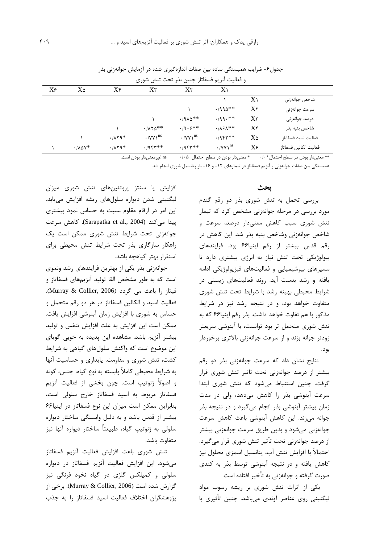| و فعالیت آنزیم فسفاتاز جنین بذر تحت تنش شوری |                               |          |                                                                 |                                                    |                                    |                |                        |  |
|----------------------------------------------|-------------------------------|----------|-----------------------------------------------------------------|----------------------------------------------------|------------------------------------|----------------|------------------------|--|
| X۶                                           | X۵                            | X۴       | X٣                                                              | $X$ ۲                                              | X <sub>1</sub>                     |                |                        |  |
|                                              |                               |          |                                                                 |                                                    |                                    | $X\setminus$   | شاخص جوانەزنى          |  |
|                                              |                               |          |                                                                 |                                                    | $\cdot$ /990**                     | X <sub>Y</sub> | سرعت جوانهزنى          |  |
|                                              |                               |          |                                                                 | $\cdot$ /910**                                     | $\cdot$ /99.**                     | $X^{\tau}$     | درصد جوانەزنى          |  |
|                                              |                               |          | $\cdot$ / $\Lambda$ $\uparrow$ $\uparrow$ $\uparrow$ $\uparrow$ | $\cdot$ /9 $\cdot$ $\cdot$ $\cdot$ $\cdot$ $\cdot$ | $\cdot$ / $\lambda$ ۶ $\lambda$ ** | Xf             | شاخص بنيه بذر          |  |
|                                              |                               | $.1114*$ | $\cdot$ /YY $\gamma^{ns}$                                       | $\cdot$ /YY \ <sup>ns</sup>                        | $.7957**$                          | X۵             | فعاليت اسيد فسفاتاز    |  |
|                                              | $\cdot$ / $\Lambda\Delta V^*$ | $.1114*$ | $.7954*$                                                        | $.7954**$                                          | $\cdot$ /YY $i$ <sup>ns</sup>      | $X\epsilon$    | فعاليت الكالين فسفاتاز |  |

جدول۶- ضرایب همبستگی ساده بین صفات اندازهگیری شده در آزمایش جوانهزنی بذر

ns غیرمعنیدار بودن است. \*\* معنىدار بودن در سطح احتمال ۰/۰۱ \* معنىدار بودن در سطح احتمال ۰/۰۵

همبستگی بین صفات جوانهزنی و آنزیم فسفاتاز در تیمارهای ۱۲- و ۱۶- بار پتانسیل شوری انجام شد.

#### ىحث

بررسی تحمل به تنش شوری بذر دو رقم گندم مورد بررسی در مرحله جوانهزنی مشخص کرد که تیمار تنش شوری سبب کاهش معنیدار درصد، سرعت و شاخص جوانهزنی وشاخص بنیه بذر شد. این کاهش در رقم قدس بيشتر از رقم اينيا ۶۶ بود. فرايندهاى بیولوژیکی تحت تنش نیاز به انرژی بیشتری دارد تا مسیرهای بیوشیمیایی و فعالیتهای فیزیولوژیکی ادامه یافته و رشد بدست آید. روند فعالیتهای زیستی در شرایط محیطی بهینه رشد با شرایط تحت تنش شوری متفاوت خواهد بود، و در نتیجه رشد نیز در شرایط مذکور با هم تفاوت خواهد داشت. بذر رقم اینیا۶۶ که به تنش شوری متحمل تر بود توانست، با آبنوشی سریعتر زودتر جوانه بزند و از سرعت جوانهزنی بالاتری برخوردار بود.

نتایج نشان داد که سرعت جوانهزنی بذر دو رقم بیشتر از درصد جوانهزنی تحت تاثیر تنش شوری قرار گرفت. چنین استنباط میشود که تنش شوری ابتدا سرعت آبنوشی بذر را کاهش میدهد، ولی در مدت زمان بیشتر آبنوشی بذر انجام میگیرد و در نتیجه بذر جوانه میزند. این کاهش آبنوشی باعث کاهش سرعت جوانهزنی میشود و بدین طریق سرعت جوانهزنی بیشتر از درصد جوانەزنى تحت تأثير تنش شورى قرار مى گيرد. احتمالاً با افزایش تنش آب، پتانسیل اسمزی محلول نیز کاهش یافته و در نتیجه آبنوشی توسط بذر به کندی صورت گرفته و جوانهزنی به تأخیر افتاده است.

یکی از اثرات تنش شوری بر ریشه رسوب مواد لیگنینی روی عناصر آوندی میٖباشد. چنین تأثیری با

افزایش یا سنتز پروتئینهای تنش شوری میزان لیگنینی شدن دیواره سلولهای ریشه افزایش مییابد. این امر در ارقام مقاوم نسبت به حساس نمود بیشتری پیدا میکند (Sarapatka et al., 2004). کاهش سرعت جوانهزنی تحت شرایط تنش شوری ممکن است یک راهكار سازگارى بذر تحت شرايط تنش محيطى براى استقرار بهتر گیاهچه باشد.

جوانهزنی بذر یکی از بهترین فرایندهای رشد ونموی است که به طور مشخص القا تولید آنزیمهای فسفاتاز و فيتاز را باعث مي گردد (Murray & Collier, 2006). فعالیت اسید و الکالین فسفاتاز در هر دو رقم متحمل و حساس به شوری با افزایش زمان آبنوشی افزایش یافت. ممکن است این افزایش به علت افزایش تنفس و تولید بیشتر آنزیم باشد. مشاهده این پدیده به خوبی گویای این موضوع است که واکنش سلولهای گیاهی به شرایط کشت، تنش شوری و مقاومت، پایداری و حساسیت آنها به شرایط محیطی کاملاً وابسته به نوع گیاه، جنس، گونه و اصولاً ژنوتیپ است. چون بخشی از فعالیت آنزیم فسفاتاز مربوط به اسيد فسفاتاز خارج سلولى است، بنابراین ممکن است میزان این نوع فسفاتاز در اینیا۶۶ بیشتر از قدس باشد و به دلیل وابستگی ساختار دیواره سلولي به ژنوتيپ گياه، طبيعتاً ساختار ديواره آنها نيز متفاوت باشد.

تنش شورى باعث افزايش فعاليت آنزيم فسفاتاز می شود. این افزایش فعالیت آنزیم فسفاتاز در دیواره سلولی و کمپلکس گلژی در گیاه نخود فرنگی نیز گزارش شده است (Murray & Collier, 2006). برخی از پژوهشگران اختلاف فعالیت اسید فسفاتاز را به جذب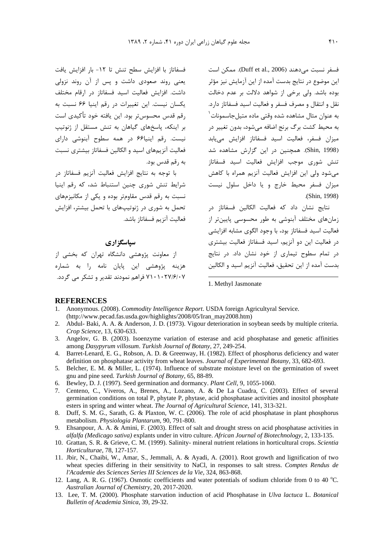فسفر نسبت مىدهند (Duff et al., 2006). ممكن است این موضوع در نتایج بدست آمده از این آزمایش نیز مؤثر وده باشد. ولي برخي از شواهد دلالت بر عدم دخالت 4 نقل و انتقال و مصرف فسفر و فعاليت اسيد فسفاتاز دارد. به عنوان مثال مشاهده شده وقتی ماده متیلجاسمونات<sup>\</sup> به محیط کشت برگ برنج اضافه میشود، بدون تغییر در ميزان فسفر، فعاليت اسيد فسفاتاز افزايش مي،يابد (Shin, 1998). همچنین در این گزارش مشاهده شد تنش شوری موجب افزایش فعالیت اسید فسفاتاز میشود ولی این افزایش فعالیت آنزیم همراه با کاهش میزان فسفر محیط خارج و یا داخل سلول نیست .(Shin, 1998)

نتایج نشان داد که فعالیت الکالین فسفاتاز در زمانهای مختلف آبنوشی به طور محسوسی پایینتر از فعاليت اسيد فسفاتاز بود، با وجود الگوى مشابه افزايشى در فعالیت این دو آنزیم، اسید فسفاتاز فعالیت بیشتری در تمام سطوح تیماری از خود نشان داد. در نتایج بدست آمده از این تحقیق، فعالیت آنزیم اسید و الکالین

فسفاتاز با افزایش سطح تنش تا ١٢- بار افزایش یافت یعنی روند صعودی داشت و پس از آن روند نزولی داشت. افزایش فعالیت اسید فسفاتاز در ارقام مختلف يكسان نيست. اين تغييرات در رقم اينيا ۶۶ نسبت به رقم قدس محسوستر بود. این یافته خود تأکیدی است بر اینکه، پاسخهای گیاهان به تنش مستقل از ژنوتیپ <u>;</u> نیست. رقم اینیا۶۶ در همه سطوح آبنوشی دارای فعالیت آنزیمهای اسید و الکالین فسفاتاز بیشتری نسبت به رقم قدس بود.

با توجه به نتايج افزايش فعاليت آنزيم فسفاتاز در شرایط تنش شوری چنین استنباط شد، که رقم اینیا نسبت به رقم قدس مقاومتر بوده و یکی از مکانیزمهای تحمل به شوری در ژنوتیپهای با تحمل بیشتر، افزایش <u>;</u> فعاليت آنزيم فسفاتاز باشد.

## سپاسگزاري

از معاونت پژوهشی دانشگاه تهران که بخشی از هزینه پژوهشی این پایان نامه را به شماره ۷۱۰۲۷/۶/۰۷ فراهم نمودند تقدیر و تشکر می گردد.

1. Methyl Jasmonate

#### **REFERENCES**

- 1. Anonymous. (2008). *Commodity Intelligence Report*. USDA foreign Agricultyral Service. (http://www.pecad.fas.usda.gov/highlights/2008/05/Iran\_may2008.htm)
- 2. Abdul- Baki, A. A. & Anderson, J. D. (1973). Vigour deterioration in soybean seeds by multiple criteria. *Crop Science*, 13, 630-633.

 $\overline{a}$ 

- 3. Angelov, G. B. (2003). Isoenzyme variation of esterase and acid phosphatase and genetic affinities among *Dasypyrum villosum*. *Turkish Journal of Botany*, 27, 249-254.
- 4. Barret-Lenard, E. G., Robson, A. D. & Greenway, H. (1982). Effect of phosphorus deficiency and water definition on phosphatase activity from wheat leaves. *Journal of Experimental Botany*, 33, 682-693.
- 5. Belcher, E. M. & Miller, L. (1974). Influence of substrate moisture level on the germination of sweet gnu and pine seed. *Turkish Journal of Botany*, 65, 88-89.
- 6. Bewley, D. J. (1997). Seed germination and dormancy. *Plant Cell*, 9, 1055-1060.
- 7. Centeno, C., Viveros, A., Brenes, A., Lozano, A. & De La Cuadra, C. (2003). Effect of several germination conditions on total P, phytate P, phytase, acid phosphatase activities and inositol phosphate esters in spring and winter wheat. *The Journal of Agricultural Science*, 141, 313-321.
- 8. Duff, S. M. G., Sarath, G. & Plaxton, W. C. (2006). The role of acid phosphatase in plant phosphorus metabolism. *Physiologia Plantarum*, 90, 791-800.
- 9. Ehsanpour, A. A. & Amini, F. (2003). Effect of salt and drought stress on acid phosphatase activities in *alfalfa (Medicago sativa)* explants under in vitro culture. *African Journal of Biotechnology*, 2, 133-135.
- 10. Grattan, S. R. & Grieve, C. M. (1999). Salinity- mineral nutrient relations in horticultural crops. *Scientia Horticulturae*, 78, 127-157.
- 11. Jbir, N., Chaibi, W., Amar, S., Jemmali, A. & Ayadi, A. (2001). Root growth and lignification of two wheat species differing in their sensitivity to NaCl, in responses to salt stress. *Comptes Rendus de l'Academie des Sciences Series III Sciences de la Vie*, 324, 863-868.
- 12. Lang, A. R. G. (1967). Osmotic coefficients and water potentials of sodium chloride from 0 to 40 °C. *Australian Journal of Chemistry*, 20, 2017-2020.
- 13. Lee, T. M. (2000). Phosphate starvation induction of acid Phosphatase in *Ulva lactuca* L. *Botanical Bulletin of Academia Sinica*, 39, 29-32.